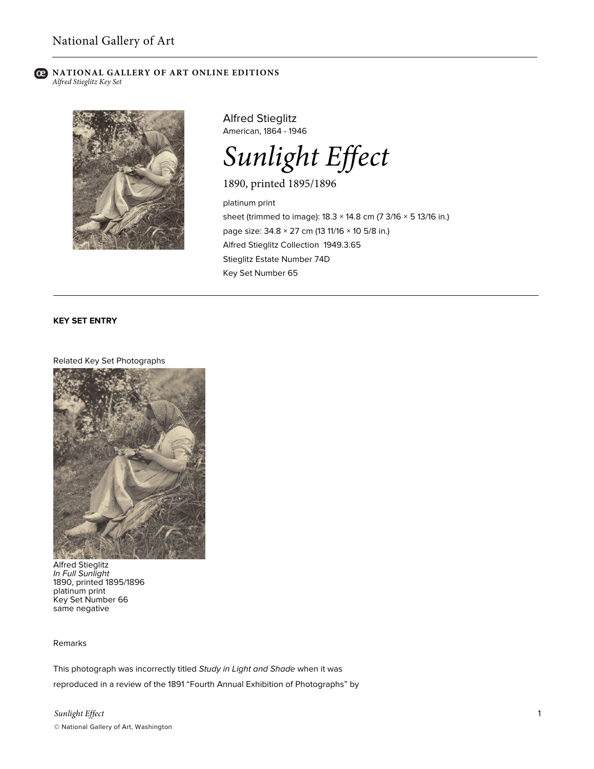#### **NATIONAL GALLERY OF ART ONLINE EDITIONS** *Alfred Stieglitz Key Set*



Alfred Stieglitz American, 1864 - 1946

*Sunlight Effect*

1890, printed 1895/1896

platinum print sheet (trimmed to image): 18.3 × 14.8 cm (7 3/16 × 5 13/16 in.) page size: 34.8 × 27 cm (13 11/16 × 10 5/8 in.) Alfred Stieglitz Collection 1949.3.65 Stieglitz Estate Number 74D Key Set Number 65

# **KEY SET ENTRY**

#### Related Key Set Photographs



Alfred Stieglitz *In Full Sunlight* 1890, printed 1895/1896 platinum print Key Set Number 66 same negative

# Remarks

This photograph was incorrectly titled *Study in Light and Shade* when it was reproduced in a review of the 1891 "Fourth Annual Exhibition of Photographs" by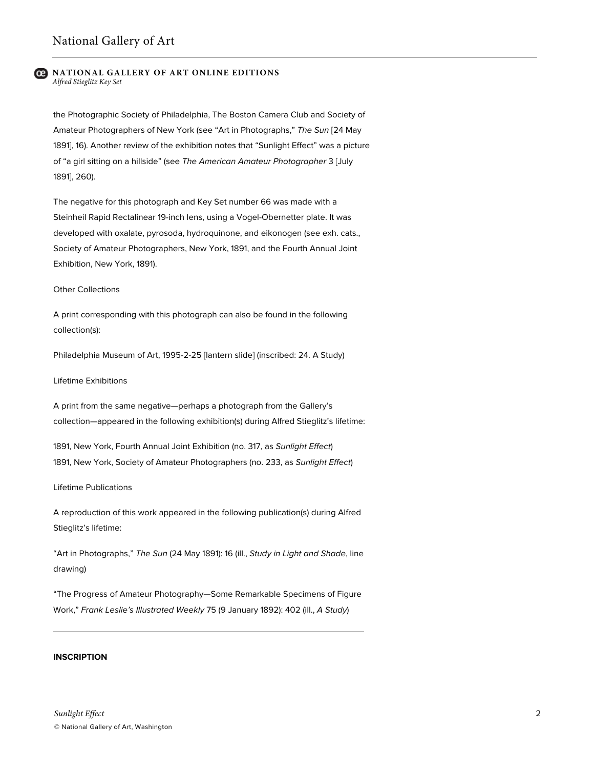#### **NATIONAL GALLERY OF ART ONLINE EDITIONS** *Alfred Stieglitz Key Set*

the Photographic Society of Philadelphia, The Boston Camera Club and Society of Amateur Photographers of New York (see "Art in Photographs," *The Sun* [24 May 1891], 16). Another review of the exhibition notes that "Sunlight Effect" was a picture of "a girl sitting on a hillside" (see *The American Amateur Photographer* 3 [July 1891], 260).

The negative for this photograph and Key Set number 66 was made with a Steinheil Rapid Rectalinear 19-inch lens, using a Vogel-Obernetter plate. It was developed with oxalate, pyrosoda, hydroquinone, and eikonogen (see exh. cats., Society of Amateur Photographers, New York, 1891, and the Fourth Annual Joint Exhibition, New York, 1891).

#### Other Collections

A print corresponding with this photograph can also be found in the following collection(s):

Philadelphia Museum of Art, 1995-2-25 [lantern slide] (inscribed: 24. A Study)

### Lifetime Exhibitions

A print from the same negative—perhaps a photograph from the Gallery's collection—appeared in the following exhibition(s) during Alfred Stieglitz's lifetime:

1891, New York, Fourth Annual Joint Exhibition (no. 317, as *Sunlight Effect*) 1891, New York, Society of Amateur Photographers (no. 233, as *Sunlight Effect*)

## Lifetime Publications

A reproduction of this work appeared in the following publication(s) during Alfred Stieglitz's lifetime:

"Art in Photographs," *The Sun* (24 May 1891): 16 (ill., *Study in Light and Shade*, line drawing)

"The Progress of Amateur Photography—Some Remarkable Specimens of Figure Work," *Frank Leslie's Illustrated Weekly* 75 (9 January 1892): 402 (ill., *A Study*)

# **INSCRIPTION**